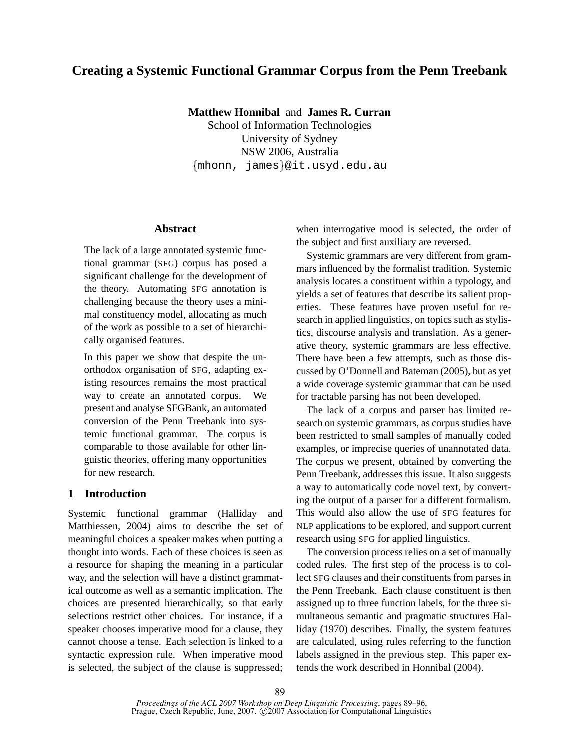# **Creating a Systemic Functional Grammar Corpus from the Penn Treebank**

**Matthew Honnibal** and **James R. Curran**

School of Information Technologies University of Sydney NSW 2006, Australia {mhonn, james}@it.usyd.edu.au

## **Abstract**

The lack of a large annotated systemic functional grammar (SFG) corpus has posed a significant challenge for the development of the theory. Automating SFG annotation is challenging because the theory uses a minimal constituency model, allocating as much of the work as possible to a set of hierarchically organised features.

In this paper we show that despite the unorthodox organisation of SFG, adapting existing resources remains the most practical way to create an annotated corpus. We present and analyse SFGBank, an automated conversion of the Penn Treebank into systemic functional grammar. The corpus is comparable to those available for other linguistic theories, offering many opportunities for new research.

# **1 Introduction**

Systemic functional grammar (Halliday and Matthiessen, 2004) aims to describe the set of meaningful choices a speaker makes when putting a thought into words. Each of these choices is seen as a resource for shaping the meaning in a particular way, and the selection will have a distinct grammatical outcome as well as a semantic implication. The choices are presented hierarchically, so that early selections restrict other choices. For instance, if a speaker chooses imperative mood for a clause, they cannot choose a tense. Each selection is linked to a syntactic expression rule. When imperative mood is selected, the subject of the clause is suppressed; when interrogative mood is selected, the order of the subject and first auxiliary are reversed.

Systemic grammars are very different from grammars influenced by the formalist tradition. Systemic analysis locates a constituent within a typology, and yields a set of features that describe its salient properties. These features have proven useful for research in applied linguistics, on topics such as stylistics, discourse analysis and translation. As a generative theory, systemic grammars are less effective. There have been a few attempts, such as those discussed by O'Donnell and Bateman (2005), but as yet a wide coverage systemic grammar that can be used for tractable parsing has not been developed.

The lack of a corpus and parser has limited research on systemic grammars, as corpus studies have been restricted to small samples of manually coded examples, or imprecise queries of unannotated data. The corpus we present, obtained by converting the Penn Treebank, addresses this issue. It also suggests a way to automatically code novel text, by converting the output of a parser for a different formalism. This would also allow the use of SFG features for NLP applications to be explored, and support current research using SFG for applied linguistics.

The conversion process relies on a set of manually coded rules. The first step of the process is to collect SFG clauses and their constituents from parses in the Penn Treebank. Each clause constituent is then assigned up to three function labels, for the three simultaneous semantic and pragmatic structures Halliday (1970) describes. Finally, the system features are calculated, using rules referring to the function labels assigned in the previous step. This paper extends the work described in Honnibal (2004).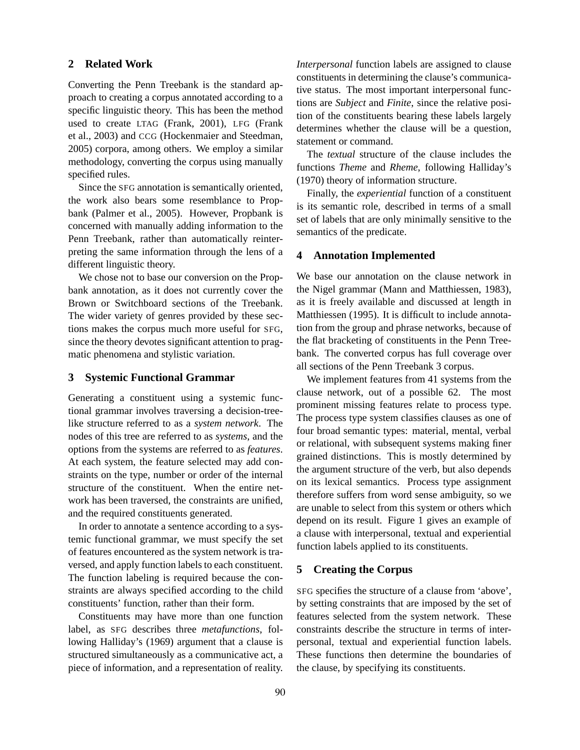## **2 Related Work**

Converting the Penn Treebank is the standard approach to creating a corpus annotated according to a specific linguistic theory. This has been the method used to create LTAG (Frank, 2001), LFG (Frank et al., 2003) and CCG (Hockenmaier and Steedman, 2005) corpora, among others. We employ a similar methodology, converting the corpus using manually specified rules.

Since the SFG annotation is semantically oriented, the work also bears some resemblance to Propbank (Palmer et al., 2005). However, Propbank is concerned with manually adding information to the Penn Treebank, rather than automatically reinterpreting the same information through the lens of a different linguistic theory.

We chose not to base our conversion on the Propbank annotation, as it does not currently cover the Brown or Switchboard sections of the Treebank. The wider variety of genres provided by these sections makes the corpus much more useful for SFG, since the theory devotes significant attention to pragmatic phenomena and stylistic variation.

## **3 Systemic Functional Grammar**

Generating a constituent using a systemic functional grammar involves traversing a decision-treelike structure referred to as a *system network*. The nodes of this tree are referred to as *systems*, and the options from the systems are referred to as *features*. At each system, the feature selected may add constraints on the type, number or order of the internal structure of the constituent. When the entire network has been traversed, the constraints are unified, and the required constituents generated.

In order to annotate a sentence according to a systemic functional grammar, we must specify the set of features encountered as the system network is traversed, and apply function labels to each constituent. The function labeling is required because the constraints are always specified according to the child constituents' function, rather than their form.

Constituents may have more than one function label, as SFG describes three *metafunctions*, following Halliday's (1969) argument that a clause is structured simultaneously as a communicative act, a piece of information, and a representation of reality. *Interpersonal* function labels are assigned to clause constituents in determining the clause's communicative status. The most important interpersonal functions are *Subject* and *Finite*, since the relative position of the constituents bearing these labels largely determines whether the clause will be a question, statement or command.

The *textual* structure of the clause includes the functions *Theme* and *Rheme*, following Halliday's (1970) theory of information structure.

Finally, the *experiential* function of a constituent is its semantic role, described in terms of a small set of labels that are only minimally sensitive to the semantics of the predicate.

### **4 Annotation Implemented**

We base our annotation on the clause network in the Nigel grammar (Mann and Matthiessen, 1983), as it is freely available and discussed at length in Matthiessen (1995). It is difficult to include annotation from the group and phrase networks, because of the flat bracketing of constituents in the Penn Treebank. The converted corpus has full coverage over all sections of the Penn Treebank 3 corpus.

We implement features from 41 systems from the clause network, out of a possible 62. The most prominent missing features relate to process type. The process type system classifies clauses as one of four broad semantic types: material, mental, verbal or relational, with subsequent systems making finer grained distinctions. This is mostly determined by the argument structure of the verb, but also depends on its lexical semantics. Process type assignment therefore suffers from word sense ambiguity, so we are unable to select from this system or others which depend on its result. Figure 1 gives an example of a clause with interpersonal, textual and experiential function labels applied to its constituents.

## **5 Creating the Corpus**

SFG specifies the structure of a clause from 'above', by setting constraints that are imposed by the set of features selected from the system network. These constraints describe the structure in terms of interpersonal, textual and experiential function labels. These functions then determine the boundaries of the clause, by specifying its constituents.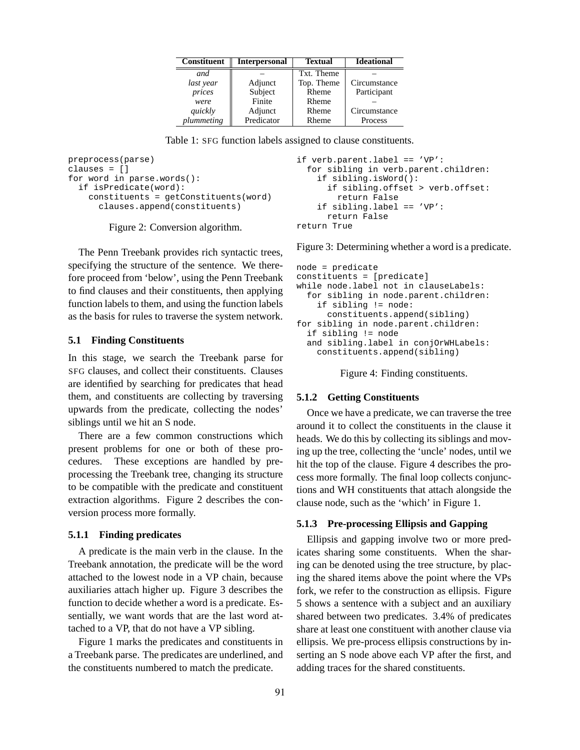| <b>Constituent</b> | <b>Interpersonal</b> | <b>Textual</b> | <b>Ideational</b> |
|--------------------|----------------------|----------------|-------------------|
| and                |                      | Txt. Theme     |                   |
| last year          | Adjunct              | Top. Theme     | Circumstance      |
| prices             | Subject              | Rheme          | Participant       |
| were               | Finite               | Rheme          |                   |
| quickly            | Adjunct              | Rheme          | Circumstance      |
| plummeting         | Predicator           | Rheme          | Process           |

Table 1: SFG function labels assigned to clause constituents.

```
preprocess(parse)
clauses = []
for word in parse.words():
  if isPredicate(word):
    constituents = getConstituents(word)
      clauses.append(constituents)
```
Figure 2: Conversion algorithm.

The Penn Treebank provides rich syntactic trees, specifying the structure of the sentence. We therefore proceed from 'below', using the Penn Treebank to find clauses and their constituents, then applying function labels to them, and using the function labels as the basis for rules to traverse the system network.

## **5.1 Finding Constituents**

In this stage, we search the Treebank parse for SFG clauses, and collect their constituents. Clauses are identified by searching for predicates that head them, and constituents are collecting by traversing upwards from the predicate, collecting the nodes' siblings until we hit an S node.

There are a few common constructions which present problems for one or both of these procedures. These exceptions are handled by preprocessing the Treebank tree, changing its structure to be compatible with the predicate and constituent extraction algorithms. Figure 2 describes the conversion process more formally.

#### **5.1.1 Finding predicates**

A predicate is the main verb in the clause. In the Treebank annotation, the predicate will be the word attached to the lowest node in a VP chain, because auxiliaries attach higher up. Figure 3 describes the function to decide whether a word is a predicate. Essentially, we want words that are the last word attached to a VP, that do not have a VP sibling.

Figure 1 marks the predicates and constituents in a Treebank parse. The predicates are underlined, and the constituents numbered to match the predicate.

```
if verb.parent.label == 'VP':
  for sibling in verb.parent.children:
    if sibling.isWord():
      if sibling.offset > verb.offset:
        return False
    if sibling.label == 'VP':
      return False
return True
```
Figure 3: Determining whether a word is a predicate.

```
node = predicate
constituents = [predicate]
while node.label not in clauseLabels:
  for sibling in node.parent.children:
    if sibling != node:
      constituents.append(sibling)
for sibling in node.parent.children:
  if sibling != node
  and sibling.label in conjOrWHLabels:
    constituents.append(sibling)
```
Figure 4: Finding constituents.

#### **5.1.2 Getting Constituents**

Once we have a predicate, we can traverse the tree around it to collect the constituents in the clause it heads. We do this by collecting its siblings and moving up the tree, collecting the 'uncle' nodes, until we hit the top of the clause. Figure 4 describes the process more formally. The final loop collects conjunctions and WH constituents that attach alongside the clause node, such as the 'which' in Figure 1.

#### **5.1.3 Pre-processing Ellipsis and Gapping**

Ellipsis and gapping involve two or more predicates sharing some constituents. When the sharing can be denoted using the tree structure, by placing the shared items above the point where the VPs fork, we refer to the construction as ellipsis. Figure 5 shows a sentence with a subject and an auxiliary shared between two predicates. 3.4% of predicates share at least one constituent with another clause via ellipsis. We pre-process ellipsis constructions by inserting an S node above each VP after the first, and adding traces for the shared constituents.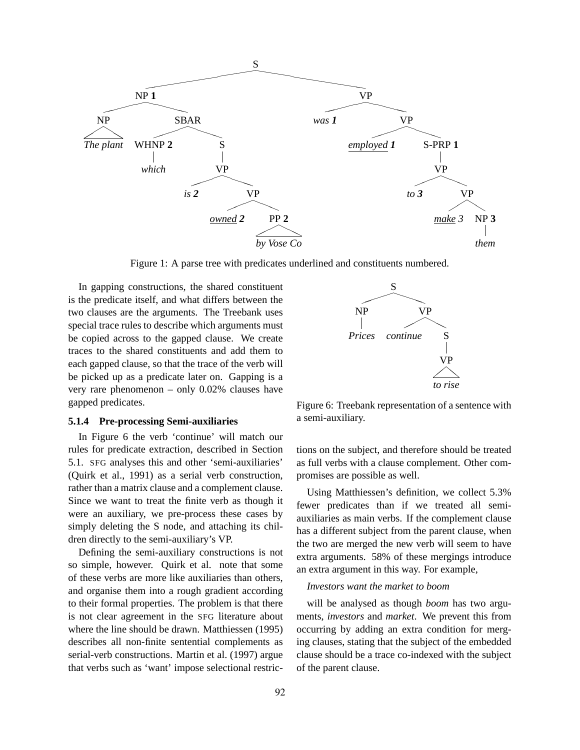

Figure 1: A parse tree with predicates underlined and constituents numbered.

In gapping constructions, the shared constituent is the predicate itself, and what differs between the two clauses are the arguments. The Treebank uses special trace rules to describe which arguments must be copied across to the gapped clause. We create traces to the shared constituents and add them to each gapped clause, so that the trace of the verb will be picked up as a predicate later on. Gapping is a very rare phenomenon – only 0.02% clauses have gapped predicates.

## **5.1.4 Pre-processing Semi-auxiliaries**

In Figure 6 the verb 'continue' will match our rules for predicate extraction, described in Section 5.1. SFG analyses this and other 'semi-auxiliaries' (Quirk et al., 1991) as a serial verb construction, rather than a matrix clause and a complement clause. Since we want to treat the finite verb as though it were an auxiliary, we pre-process these cases by simply deleting the S node, and attaching its children directly to the semi-auxiliary's VP.

Defining the semi-auxiliary constructions is not so simple, however. Quirk et al. note that some of these verbs are more like auxiliaries than others, and organise them into a rough gradient according to their formal properties. The problem is that there is not clear agreement in the SFG literature about where the line should be drawn. Matthiessen (1995) describes all non-finite sentential complements as serial-verb constructions. Martin et al. (1997) argue that verbs such as 'want' impose selectional restric-



Figure 6: Treebank representation of a sentence with a semi-auxiliary.

tions on the subject, and therefore should be treated as full verbs with a clause complement. Other compromises are possible as well.

Using Matthiessen's definition, we collect 5.3% fewer predicates than if we treated all semiauxiliaries as main verbs. If the complement clause has a different subject from the parent clause, when the two are merged the new verb will seem to have extra arguments. 58% of these mergings introduce an extra argument in this way. For example,

#### *Investors want the market to boom*

will be analysed as though *boom* has two arguments, *investors* and *market*. We prevent this from occurring by adding an extra condition for merging clauses, stating that the subject of the embedded clause should be a trace co-indexed with the subject of the parent clause.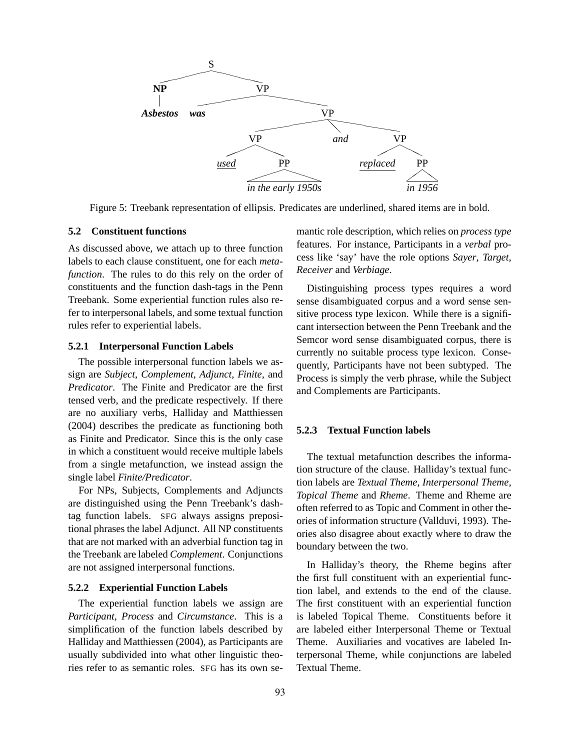

Figure 5: Treebank representation of ellipsis. Predicates are underlined, shared items are in bold.

## **5.2 Constituent functions**

As discussed above, we attach up to three function labels to each clause constituent, one for each *metafunction*. The rules to do this rely on the order of constituents and the function dash-tags in the Penn Treebank. Some experiential function rules also refer to interpersonal labels, and some textual function rules refer to experiential labels.

#### **5.2.1 Interpersonal Function Labels**

The possible interpersonal function labels we assign are *Subject*, *Complement*, *Adjunct*, *Finite*, and *Predicator*. The Finite and Predicator are the first tensed verb, and the predicate respectively. If there are no auxiliary verbs, Halliday and Matthiessen (2004) describes the predicate as functioning both as Finite and Predicator. Since this is the only case in which a constituent would receive multiple labels from a single metafunction, we instead assign the single label *Finite/Predicator*.

For NPs, Subjects, Complements and Adjuncts are distinguished using the Penn Treebank's dashtag function labels. SFG always assigns prepositional phrases the label Adjunct. All NP constituents that are not marked with an adverbial function tag in the Treebank are labeled *Complement*. Conjunctions are not assigned interpersonal functions.

## **5.2.2 Experiential Function Labels**

The experiential function labels we assign are *Participant*, *Process* and *Circumstance*. This is a simplification of the function labels described by Halliday and Matthiessen (2004), as Participants are usually subdivided into what other linguistic theories refer to as semantic roles. SFG has its own semantic role description, which relies on *process type* features. For instance, Participants in a *verbal* process like 'say' have the role options *Sayer*, *Target*, *Receiver* and *Verbiage*.

Distinguishing process types requires a word sense disambiguated corpus and a word sense sensitive process type lexicon. While there is a significant intersection between the Penn Treebank and the Semcor word sense disambiguated corpus, there is currently no suitable process type lexicon. Consequently, Participants have not been subtyped. The Process is simply the verb phrase, while the Subject and Complements are Participants.

#### **5.2.3 Textual Function labels**

The textual metafunction describes the information structure of the clause. Halliday's textual function labels are *Textual Theme*, *Interpersonal Theme*, *Topical Theme* and *Rheme*. Theme and Rheme are often referred to as Topic and Comment in other theories of information structure (Vallduvi, 1993). Theories also disagree about exactly where to draw the boundary between the two.

In Halliday's theory, the Rheme begins after the first full constituent with an experiential function label, and extends to the end of the clause. The first constituent with an experiential function is labeled Topical Theme. Constituents before it are labeled either Interpersonal Theme or Textual Theme. Auxiliaries and vocatives are labeled Interpersonal Theme, while conjunctions are labeled Textual Theme.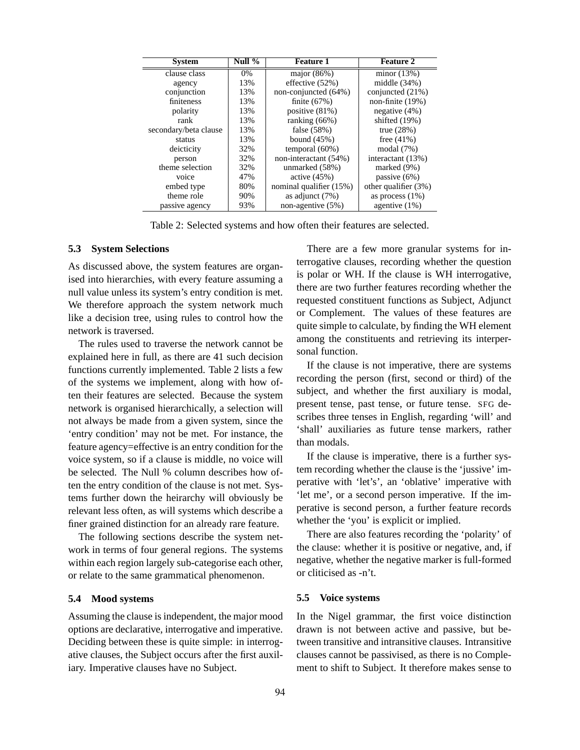| <b>System</b>         | Null % | <b>Feature 1</b>        | <b>Feature 2</b>     |
|-----------------------|--------|-------------------------|----------------------|
| clause class          | 0%     | major $(86%)$           | minor $(13%)$        |
| agency                | 13%    | effective (52%)         | middle $(34%)$       |
| conjunction           | 13%    | non-conjuncted (64%)    | conjuncted (21%)     |
| finiteness            | 13%    | finite $(67%)$          | non-finite $(19%)$   |
| polarity              | 13%    | positive $(81%)$        | negative $(4\%)$     |
| rank                  | 13%    | ranking $(66%)$         | shifted $(19%)$      |
| secondary/beta clause | 13%    | false $(58%)$           | true $(28%)$         |
| status                | 13%    | bound $(45%)$           | free $(41\%)$        |
| deicticity            | 32%    | temporal $(60\%)$       | modal $(7%)$         |
| person                | 32%    | non-interactant (54%)   | interactant (13%)    |
| theme selection       | 32%    | unmarked (58%)          | marked (9%)          |
| voice                 | 47%    | active $(45%)$          | passive $(6\%)$      |
| embed type            | 80%    | nominal qualifier (15%) | other qualifier (3%) |
| theme role            | 90%    | as adjunct $(7%)$       | as process $(1%)$    |
| passive agency        | 93%    | non-agentive (5%)       | agentive $(1%)$      |

Table 2: Selected systems and how often their features are selected.

## **5.3 System Selections**

As discussed above, the system features are organised into hierarchies, with every feature assuming a null value unless its system's entry condition is met. We therefore approach the system network much like a decision tree, using rules to control how the network is traversed.

The rules used to traverse the network cannot be explained here in full, as there are 41 such decision functions currently implemented. Table 2 lists a few of the systems we implement, along with how often their features are selected. Because the system network is organised hierarchically, a selection will not always be made from a given system, since the 'entry condition' may not be met. For instance, the feature agency=effective is an entry condition for the voice system, so if a clause is middle, no voice will be selected. The Null % column describes how often the entry condition of the clause is not met. Systems further down the heirarchy will obviously be relevant less often, as will systems which describe a finer grained distinction for an already rare feature.

The following sections describe the system network in terms of four general regions. The systems within each region largely sub-categorise each other, or relate to the same grammatical phenomenon.

## **5.4 Mood systems**

Assuming the clause is independent, the major mood options are declarative, interrogative and imperative. Deciding between these is quite simple: in interrogative clauses, the Subject occurs after the first auxiliary. Imperative clauses have no Subject.

There are a few more granular systems for interrogative clauses, recording whether the question is polar or WH. If the clause is WH interrogative, there are two further features recording whether the requested constituent functions as Subject, Adjunct or Complement. The values of these features are quite simple to calculate, by finding the WH element among the constituents and retrieving its interpersonal function.

If the clause is not imperative, there are systems recording the person (first, second or third) of the subject, and whether the first auxiliary is modal, present tense, past tense, or future tense. SFG describes three tenses in English, regarding 'will' and 'shall' auxiliaries as future tense markers, rather than modals.

If the clause is imperative, there is a further system recording whether the clause is the 'jussive' imperative with 'let's', an 'oblative' imperative with 'let me', or a second person imperative. If the imperative is second person, a further feature records whether the 'you' is explicit or implied.

There are also features recording the 'polarity' of the clause: whether it is positive or negative, and, if negative, whether the negative marker is full-formed or cliticised as -n't.

#### **5.5 Voice systems**

In the Nigel grammar, the first voice distinction drawn is not between active and passive, but between transitive and intransitive clauses. Intransitive clauses cannot be passivised, as there is no Complement to shift to Subject. It therefore makes sense to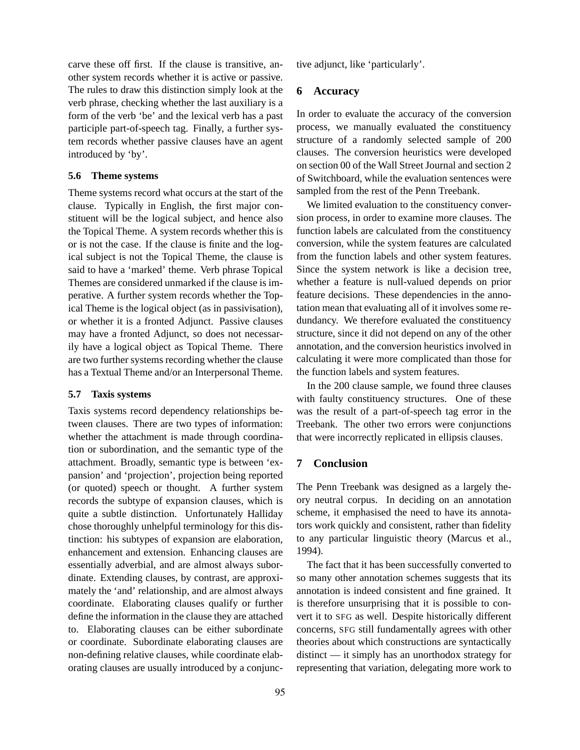carve these off first. If the clause is transitive, another system records whether it is active or passive. The rules to draw this distinction simply look at the verb phrase, checking whether the last auxiliary is a form of the verb 'be' and the lexical verb has a past participle part-of-speech tag. Finally, a further system records whether passive clauses have an agent introduced by 'by'.

## **5.6 Theme systems**

Theme systems record what occurs at the start of the clause. Typically in English, the first major constituent will be the logical subject, and hence also the Topical Theme. A system records whether this is or is not the case. If the clause is finite and the logical subject is not the Topical Theme, the clause is said to have a 'marked' theme. Verb phrase Topical Themes are considered unmarked if the clause is imperative. A further system records whether the Topical Theme is the logical object (as in passivisation), or whether it is a fronted Adjunct. Passive clauses may have a fronted Adjunct, so does not necessarily have a logical object as Topical Theme. There are two further systems recording whether the clause has a Textual Theme and/or an Interpersonal Theme.

## **5.7 Taxis systems**

Taxis systems record dependency relationships between clauses. There are two types of information: whether the attachment is made through coordination or subordination, and the semantic type of the attachment. Broadly, semantic type is between 'expansion' and 'projection', projection being reported (or quoted) speech or thought. A further system records the subtype of expansion clauses, which is quite a subtle distinction. Unfortunately Halliday chose thoroughly unhelpful terminology for this distinction: his subtypes of expansion are elaboration, enhancement and extension. Enhancing clauses are essentially adverbial, and are almost always subordinate. Extending clauses, by contrast, are approximately the 'and' relationship, and are almost always coordinate. Elaborating clauses qualify or further define the information in the clause they are attached to. Elaborating clauses can be either subordinate or coordinate. Subordinate elaborating clauses are non-defining relative clauses, while coordinate elaborating clauses are usually introduced by a conjunc-

95

tive adjunct, like 'particularly'.

## **6 Accuracy**

In order to evaluate the accuracy of the conversion process, we manually evaluated the constituency structure of a randomly selected sample of 200 clauses. The conversion heuristics were developed on section 00 of the Wall Street Journal and section 2 of Switchboard, while the evaluation sentences were sampled from the rest of the Penn Treebank.

We limited evaluation to the constituency conversion process, in order to examine more clauses. The function labels are calculated from the constituency conversion, while the system features are calculated from the function labels and other system features. Since the system network is like a decision tree, whether a feature is null-valued depends on prior feature decisions. These dependencies in the annotation mean that evaluating all of it involves some redundancy. We therefore evaluated the constituency structure, since it did not depend on any of the other annotation, and the conversion heuristics involved in calculating it were more complicated than those for the function labels and system features.

In the 200 clause sample, we found three clauses with faulty constituency structures. One of these was the result of a part-of-speech tag error in the Treebank. The other two errors were conjunctions that were incorrectly replicated in ellipsis clauses.

# **7 Conclusion**

The Penn Treebank was designed as a largely theory neutral corpus. In deciding on an annotation scheme, it emphasised the need to have its annotators work quickly and consistent, rather than fidelity to any particular linguistic theory (Marcus et al., 1994).

The fact that it has been successfully converted to so many other annotation schemes suggests that its annotation is indeed consistent and fine grained. It is therefore unsurprising that it is possible to convert it to SFG as well. Despite historically different concerns, SFG still fundamentally agrees with other theories about which constructions are syntactically distinct — it simply has an unorthodox strategy for representing that variation, delegating more work to